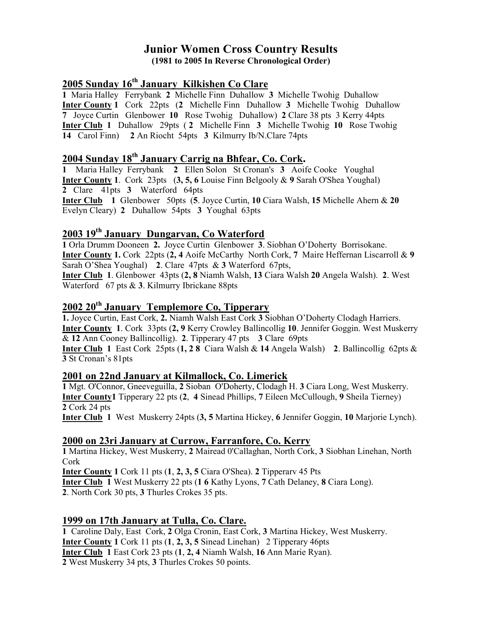#### Junior Women Cross Country Results (1981 to 2005 In Reverse Chronological Order)

## 2005 Sunday 16<sup>th</sup> January Kilkishen Co Clare

1 Maria Halley Ferrybank 2 Michelle Finn Duhallow 3 Michelle Twohig Duhallow Inter County 1 Cork 22pts (2 Michelle Finn Duhallow 3 Michelle Twohig Duhallow 7 Joyce Curtin Glenbower 10 Rose Twohig Duhallow) 2 Clare 38 pts 3 Kerry 44pts Inter Club 1 Duhallow 29pts ( 2 Michelle Finn 3 Michelle Twohig 10 Rose Twohig 14 Carol Finn) 2 An Riocht 54pts 3 Kilmurry Ib/N.Clare 74pts

# 2004 Sunday 18th January Carrig na Bhfear, Co. Cork.

1 Maria Halley Ferrybank 2 Ellen Solon St Cronan's 3 Aoife Cooke Youghal Inter County 1. Cork 23pts (3, 5, 6 Louise Finn Belgooly & 9 Sarah O'Shea Youghal) 2 Clare 41pts 3 Waterford 64pts Inter Club 1 Glenbower 50pts (5. Joyce Curtin, 10 Ciara Walsh, 15 Michelle Ahern & 20 Evelyn Cleary) 2 Duhallow 54pts 3 Youghal 63pts

#### 2003 19th January Dungarvan, Co Waterford

1 Orla Drumm Dooneen 2. Joyce Curtin Glenbower 3. Siobhan O'Doherty Borrisokane. Inter County 1. Cork 22pts (2, 4 Aoife McCarthy North Cork, 7 Maire Heffernan Liscarroll & 9 Sarah O'Shea Youghal) 2. Clare 47pts & 3 Waterford 67pts,

Inter Club 1. Glenbower 43pts (2, 8 Niamh Walsh, 13 Ciara Walsh 20 Angela Walsh). 2. West Waterford 67 pts & 3. Kilmurry Ibrickane 88pts

# $2002 20$ <sup>th</sup> January Templemore Co, Tipperary

1. Joyce Curtin, East Cork, 2. Niamh Walsh East Cork 3 Siobhan O'Doherty Clodagh Harriers. Inter County 1. Cork 33pts (2, 9 Kerry Crowley Ballincollig 10. Jennifer Goggin. West Muskerry & 12 Ann Cooney Ballincollig). 2. Tipperary 47 pts 3 Clare 69pts

**Inter Club 1** East Cork 25pts  $(1, 2, 8)$  Ciara Walsh & 14 Angela Walsh) 2. Ballincollig 62pts & 3 St Cronan's 81pts

#### 2001 on 22nd January at Kilmallock, Co. Limerick

1 Mgt. O'Connor, Gneeveguilla, 2 Sioban O'Doherty, Clodagh H. 3 Ciara Long, West Muskerry. Inter County1 Tipperary 22 pts (2, 4 Sinead Phillips, 7 Eileen McCullough, 9 Sheila Tierney) 2 Cork 24 pts

Inter Club 1 West Muskerry 24pts (3, 5 Martina Hickey, 6 Jennifer Goggin, 10 Marjorie Lynch).

#### 2000 on 23ri January at Currow, Farranfore, Co. Kerry

1 Martina Hickey, West Muskerry, 2 Mairead 0'Callaghan, North Cork, 3 Siobhan Linehan, North Cork

Inter County 1 Cork 11 pts (1, 2, 3, 5 Ciara O'Shea). 2 Tipperarv 45 Pts Inter Club 1 West Muskerry 22 pts (1 6 Kathy Lyons, 7 Cath Delaney, 8 Ciara Long). 2. North Cork 30 pts, 3 Thurles Crokes 35 pts.

#### 1999 on 17th January at Tulla, Co. Clare.

1 Caroline Daly, East Cork, 2 Olga Cronin, East Cork, 3 Martina Hickey, West Muskerry. Inter County 1 Cork 11 pts (1, 2, 3, 5 Sinead Linehan) 2 Tipperary 46pts Inter Club 1 East Cork 23 pts (1, 2, 4 Niamh Walsh, 16 Ann Marie Ryan). 2 West Muskerry 34 pts, 3 Thurles Crokes 50 points.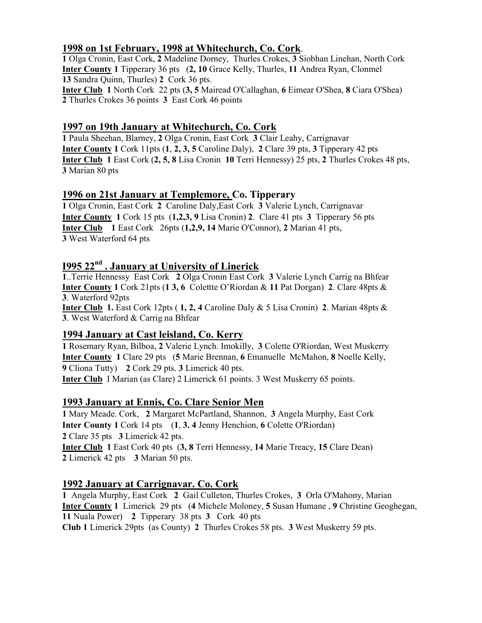## 1998 on 1st February, 1998 at Whitechurch, Co. Cork.

1 Olga Cronin, East Cork, 2 Madeline Dorney, Thurles Crokes, 3 Siobhan Linehan, North Cork Inter County 1 Tipperary 36 pts (2, 10 Grace Kelly, Thurles, 11 Andrea Ryan, Clonmel 13 Sandra Quinn, Thurles) 2 Cork 36 pts. Inter Club 1 North Cork 22 pts (3, 5 Mairead O'Callaghan, 6 Eimear O'Shea, 8 Ciara O'Shea) 2 Thurles Crokes 36 points 3 East Cork 46 points

## 1997 on 19th January at Whitechurch, Co. Cork

1 Paula Sheehan, Blarney, 2 Olga Cronin, East Cork 3 Clair Leahy, Carrignavar Inter County 1 Cork 11pts (1, 2, 3, 5 Caroline Daly), 2 Clare 39 pts, 3 Tipperary 42 pts Inter Club 1 East Cork (2, 5, 8 Lisa Cronin 10 Terri Hennessy) 25 pts, 2 Thurles Crokes 48 pts, 3 Marian 80 pts

## 1996 on 21st January at Templemore, Co. Tipperary

1 Olga Cronin, East Cork 2 Caroline Daly,East Cork 3 Valerie Lynch, Carrignavar Inter County 1 Cork 15 pts (1,2,3, 9 Lisa Cronin) 2. Clare 41 pts 3 Tipperary 56 pts Inter Club 1 East Cork 26pts (1,2,9, 14 Marie O'Connor), 2 Marian 41 pts, 3 West Waterford 64 pts

## I995 22nd . January at University of Linerick

1..Terrie Hennessy East Cork 2 Olga Cronin East Cork 3 Valerie Lynch Carrig na Bhfear **Inter County 1** Cork 21pts  $(1, 3, 6)$  Colettte O'Riordan & 11 Pat Dorgan) 2. Clare 48pts & 3. Waterford 92pts

**Inter Club 1.** East Cork 12pts (1, 2, 4 Caroline Daly  $\&$  5 Lisa Cronin) 2. Marian 48pts  $\&$ 3. West Waterford & Carrig na Bhfear

## 1994 January at Cast leisland, Co. Kerry

1 Rosemary Ryan, Bilboa, 2 Valerie Lynch. Imokilly, 3 Colette O'Riordan, West Muskerry Inter County 1 Clare 29 pts (5 Marie Brennan, 6 Emanuelle McMahon, 8 Noelle Kelly, 9 Cliona Tutty) 2 Cork 29 pts. 3 Limerick 40 pts. Inter Club I Marian (as Clare) 2 Limerick 61 points. 3 West Muskerry 65 points.

## 1993 January at Ennis, Co. Clare Senior Men

1 Mary Meade. Cork, 2 Margaret McPartland, Shannon, 3 Angela Murphy, East Cork Inter County 1 Cork 14 pts (1, 3. 4 Jenny Henchion, 6 Colette O'Riordan) 2 Clare 35 pts 3 Limerick 42 pts. Inter Club 1 East Cork 40 pts (3, 8 Terri Hennessy, 14 Marie Treacy, 15 Clare Dean) 2 Limerick 42 pts 3 Marian 50 pts.

## 1992 January at Carrignavar. Co. Cork

1 Angela Murphy, East Cork 2 Gail Culleton, Thurles Crokes, 3 Orla O'Mahony, Marian Inter County 1 Limerick 29 pts (4 Michele Moloney, 5 Susan Humane , 9 Christine Geoghegan, 11 Nuala Power) 2 Tipperary 38 pts 3 Cork 40 pts Club 1 Limerick 29pts (as County) 2 Thurles Crokes 58 pts. 3 West Muskerry 59 pts.